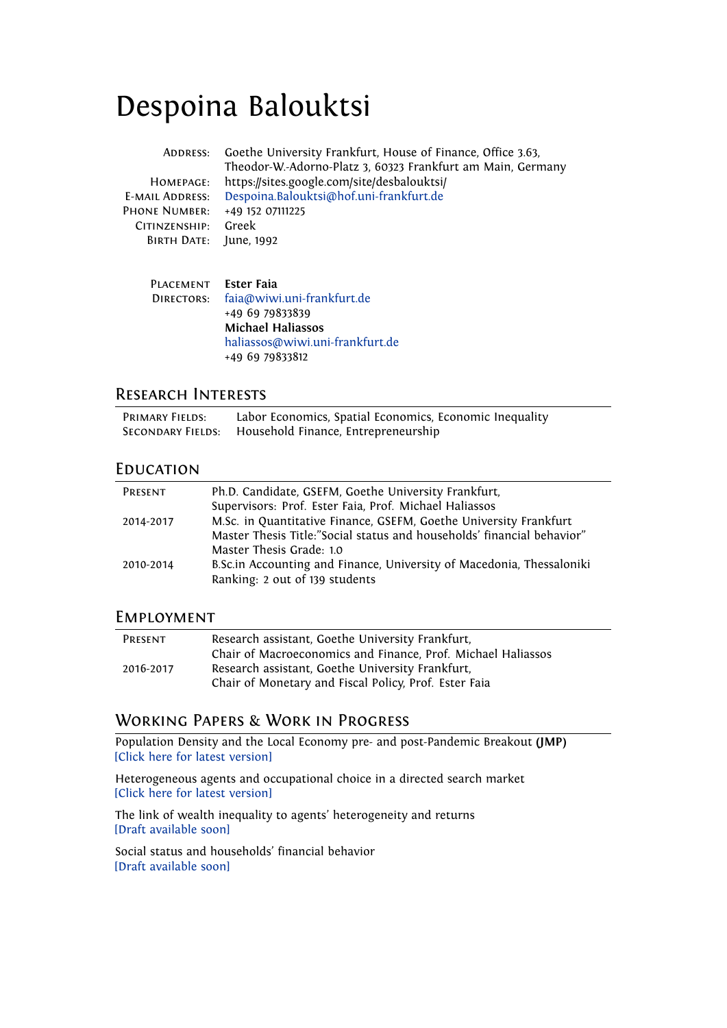# Despoina Balouktsi

| ADDRESS:               | Goethe University Frankfurt, House of Finance, Office 3.63,<br>Theodor-W.-Adorno-Platz 3, 60323 Frankfurt am Main, Germany |
|------------------------|----------------------------------------------------------------------------------------------------------------------------|
| HOMEPAGE:              | https://sites.google.com/site/desbalouktsi/                                                                                |
| <b>E-MAIL ADDRESS:</b> | Despoina.Balouktsi@hof.uni-frankfurt.de                                                                                    |
| PHONE NUMBER:          | +49 152 07111225                                                                                                           |
| CITINZENSHIP:          | Greek                                                                                                                      |
| BIRTH DATE:            | June, 1992                                                                                                                 |
| <b>PLACEMENT</b>       | Ester Faia                                                                                                                 |
|                        |                                                                                                                            |
| DIRECTORS:             | faia@wiwi.uni-frankfurt.de                                                                                                 |
|                        | +49 69 79833839                                                                                                            |

لازه **Michael Haliassos** [haliassos@wiwi.uni-frankfurt.de](mailto:haliassos@wiwi.uni-frankfurt.de ) +49 69 79833812

## Research Interests

| <b>PRIMARY FIELDS:</b> | Labor Economics, Spatial Economics, Economic Inequality |
|------------------------|---------------------------------------------------------|
| SECONDARY FIELDS:      | Household Finance, Entrepreneurship                     |

#### **EDUCATION**

| PRESENT   | Ph.D. Candidate, GSEFM, Goethe University Frankfurt,                   |
|-----------|------------------------------------------------------------------------|
|           | Supervisors: Prof. Ester Faia, Prof. Michael Haliassos                 |
| 2014-2017 | M.Sc. in Quantitative Finance, GSEFM, Goethe University Frankfurt      |
|           | Master Thesis Title:"Social status and households' financial behavior" |
|           | Master Thesis Grade: 1.0                                               |
| 2010-2014 | B.Sc.in Accounting and Finance, University of Macedonia, Thessaloniki  |
|           | Ranking: 2 out of 139 students                                         |

#### Employment

| PRESENT   | Research assistant, Goethe University Frankfurt,<br>Chair of Macroeconomics and Finance, Prof. Michael Haliassos |
|-----------|------------------------------------------------------------------------------------------------------------------|
| 2016-2017 | Research assistant, Goethe University Frankfurt,<br>Chair of Monetary and Fiscal Policy, Prof. Ester Faia        |

## Working Papers & Work in Progress

Population Density and the Local Economy pre- and post-Pandemic Breakout **(JMP)** [\[Click here for latest version\]](https://papers.ssrn.com/sol3/papers.cfm?abstract_id=3921319)

Heterogeneous agents and occupational choice in a directed search market [\[Click here for latest version\]](https://papers.ssrn.com/sol3/papers.cfm?abstract_id=3567694)

The link of wealth inequality to agents' heterogeneity and returns [\[Draft available soon\]](https://sites.google.com/site/desbalouktsi/)

Social status and households' financial behavior [\[Draft available soon\]](https://sites.google.com/site/desbalouktsi/)